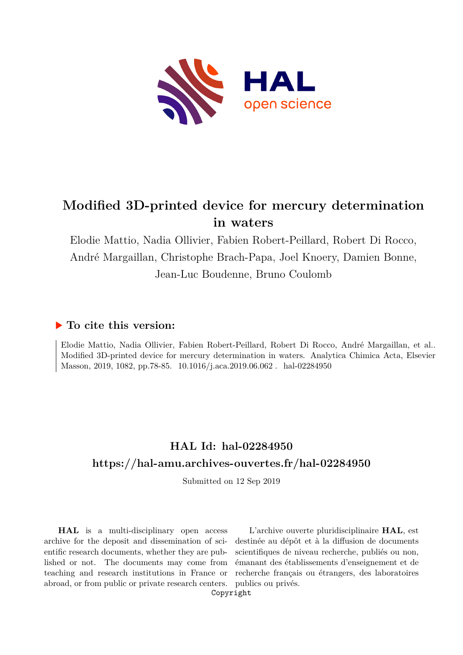

# **Modified 3D-printed device for mercury determination in waters**

Elodie Mattio, Nadia Ollivier, Fabien Robert-Peillard, Robert Di Rocco, André Margaillan, Christophe Brach-Papa, Joel Knoery, Damien Bonne, Jean-Luc Boudenne, Bruno Coulomb

# **To cite this version:**

Elodie Mattio, Nadia Ollivier, Fabien Robert-Peillard, Robert Di Rocco, André Margaillan, et al.. Modified 3D-printed device for mercury determination in waters. Analytica Chimica Acta, Elsevier Masson, 2019, 1082, pp.78-85. 10.1016/j.aca.2019.06.062 . hal-02284950

# **HAL Id: hal-02284950 <https://hal-amu.archives-ouvertes.fr/hal-02284950>**

Submitted on 12 Sep 2019

**HAL** is a multi-disciplinary open access archive for the deposit and dissemination of scientific research documents, whether they are published or not. The documents may come from teaching and research institutions in France or abroad, or from public or private research centers.

L'archive ouverte pluridisciplinaire **HAL**, est destinée au dépôt et à la diffusion de documents scientifiques de niveau recherche, publiés ou non, émanant des établissements d'enseignement et de recherche français ou étrangers, des laboratoires publics ou privés.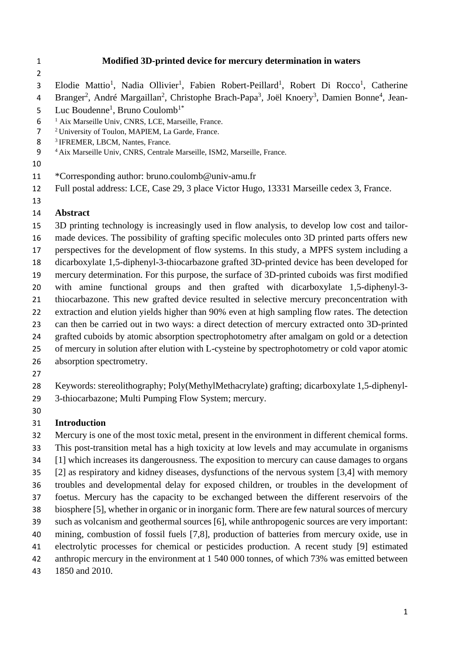## **Modified 3D-printed device for mercury determination in waters**

- 3 Elodie Mattio<sup>1</sup>, Nadia Ollivier<sup>1</sup>, Fabien Robert-Peillard<sup>1</sup>, Robert Di Rocco<sup>1</sup>, Catherine
- 4 Branger<sup>2</sup>, André Margaillan<sup>2</sup>, Christophe Brach-Papa<sup>3</sup>, Joël Knoery<sup>3</sup>, Damien Bonne<sup>4</sup>, Jean-
- 5 Luc Boudenne<sup>1</sup>, Bruno Coulomb<sup>1\*</sup>
- <sup>1</sup> Aix Marseille Univ, CNRS, LCE, Marseille, France.
- University of Toulon, MAPIEM, La Garde, France.
- 8 <sup>3</sup> IFREMER, LBCM, Nantes, France.
- Aix Marseille Univ, CNRS, Centrale Marseille, ISM2, Marseille, France.
- 
- \*Corresponding author: [bruno.coulomb@univ-amu.fr](mailto:bruno.coulomb@univ-amu.fr)
- Full postal address: LCE, Case 29, 3 place Victor Hugo, 13331 Marseille cedex 3, France.
- 

## **Abstract**

- 3D printing technology is increasingly used in flow analysis, to develop low cost and tailor- made devices. The possibility of grafting specific molecules onto 3D printed parts offers new perspectives for the development of flow systems. In this study, a MPFS system including a dicarboxylate 1,5-diphenyl-3-thiocarbazone grafted 3D-printed device has been developed for mercury determination. For this purpose, the surface of 3D-printed cuboids was first modified with amine functional groups and then grafted with dicarboxylate 1,5-diphenyl-3- thiocarbazone. This new grafted device resulted in selective mercury preconcentration with extraction and elution yields higher than 90% even at high sampling flow rates. The detection
- can then be carried out in two ways: a direct detection of mercury extracted onto 3D-printed
- 24 grafted cuboids by atomic absorption spectrophotometry after amalgam on gold or a detection
- of mercury in solution after elution with L-cysteine by spectrophotometry or cold vapor atomic
- absorption spectrometry.
- 
- Keywords: stereolithography; Poly(MethylMethacrylate) grafting; dicarboxylate 1,5-diphenyl-
- 3-thiocarbazone; Multi Pumping Flow System; mercury.
- 

# **Introduction**

- Mercury is one of the most toxic metal, present in the environment in different chemical forms.
- This post-transition metal has a high toxicity at low levels and may accumulate in organisms
- [1] which increases its dangerousness. The exposition to mercury can cause damages to organs
- [2] as respiratory and kidney diseases, dysfunctions of the nervous system [3,4] with memory
- troubles and developmental delay for exposed children, or troubles in the development of
- foetus. Mercury has the capacity to be exchanged between the different reservoirs of the
- biosphere [5], whether in organic or in inorganic form. There are few natural sources of mercury
- such as volcanism and geothermal sources [6], while anthropogenic sources are very important:
- mining, combustion of fossil fuels [7,8], production of batteries from mercury oxide, use in
- electrolytic processes for chemical or pesticides production. A recent study [9] estimated
- anthropic mercury in the environment at 1 540 000 tonnes, of which 73% was emitted between
- 1850 and 2010.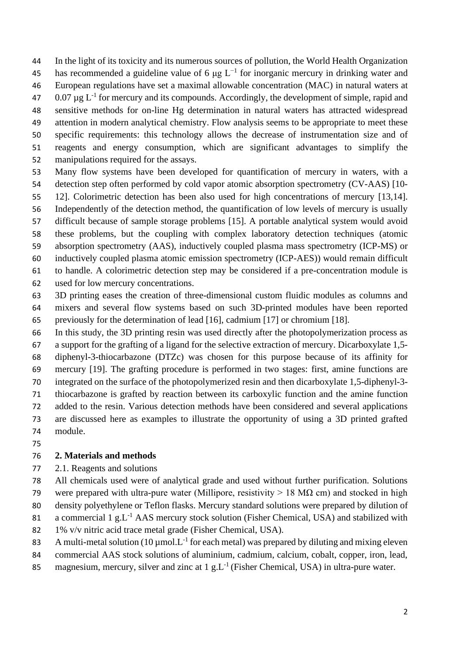In the light of its toxicity and its numerous sources of pollution, the World Health Organization 45 has recommended a guideline value of 6 μg  $L^{-1}$  for inorganic mercury in drinking water and European regulations have set a maximal allowable concentration (MAC) in natural waters at  $0.07 \,\mu g$  L<sup>-1</sup> for mercury and its compounds. Accordingly, the development of simple, rapid and sensitive methods for on-line Hg determination in natural waters has attracted widespread attention in modern analytical chemistry. Flow analysis seems to be appropriate to meet these specific requirements: this technology allows the decrease of instrumentation size and of reagents and energy consumption, which are significant advantages to simplify the

- manipulations required for the assays.
- Many flow systems have been developed for quantification of mercury in waters, with a detection step often performed by cold vapor atomic absorption spectrometry (CV-AAS) [10- 12]. Colorimetric detection has been also used for high concentrations of mercury [13,14]. Independently of the detection method, the quantification of low levels of mercury is usually difficult because of sample storage problems [15]. A portable analytical system would avoid these problems, but the coupling with complex laboratory detection techniques (atomic absorption spectrometry (AAS), inductively coupled plasma mass spectrometry (ICP-MS) or inductively coupled plasma atomic emission spectrometry (ICP-AES)) would remain difficult to handle. A colorimetric detection step may be considered if a pre-concentration module is
- used for low mercury concentrations.
- 3D printing eases the creation of three-dimensional custom fluidic modules as columns and mixers and several flow systems based on such 3D-printed modules have been reported previously for the determination of lead [16], cadmium [17] or chromium [18].
- In this study, the 3D printing resin was used directly after the photopolymerization process as a support for the grafting of a ligand for the selective extraction of mercury. Dicarboxylate 1,5- diphenyl-3-thiocarbazone (DTZc) was chosen for this purpose because of its affinity for mercury [19]. The grafting procedure is performed in two stages: first, amine functions are integrated on the surface of the photopolymerized resin and then dicarboxylate 1,5-diphenyl-3- thiocarbazone is grafted by reaction between its carboxylic function and the amine function added to the resin. Various detection methods have been considered and several applications are discussed here as examples to illustrate the opportunity of using a 3D printed grafted
- module.

- **2. Materials and methods**
- 2.1. Reagents and solutions
- All chemicals used were of analytical grade and used without further purification. Solutions
- 79 were prepared with ultra-pure water (Millipore, resistivity  $> 18$  M $\Omega$  cm) and stocked in high
- density polyethylene or Teflon flasks. Mercury standard solutions were prepared by dilution of
- 81 a commercial 1  $g.L^{-1}$  AAS mercury stock solution (Fisher Chemical, USA) and stabilized with
- 1% v/v nitric acid trace metal grade (Fisher Chemical, USA).
- 83 A multi-metal solution (10  $\mu$ mol. L<sup>-1</sup> for each metal) was prepared by diluting and mixing eleven
- commercial AAS stock solutions of aluminium, cadmium, calcium, cobalt, copper, iron, lead,
- 85 magnesium, mercury, silver and zinc at 1 g.L<sup>-1</sup> (Fisher Chemical, USA) in ultra-pure water.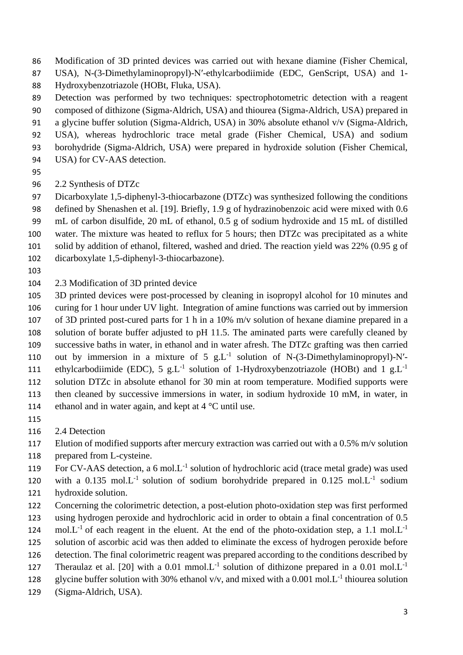- Modification of 3D printed devices was carried out with hexane diamine (Fisher Chemical,
- USA), N-(3-Dimethylaminopropyl)-N′-ethylcarbodiimide (EDC, GenScript, USA) and 1-
- Hydroxybenzotriazole (HOBt, Fluka, USA).
- Detection was performed by two techniques: spectrophotometric detection with a reagent
- composed of dithizone (Sigma-Aldrich, USA) and thiourea (Sigma-Aldrich, USA) prepared in
- a glycine buffer solution (Sigma-Aldrich, USA) in 30% absolute ethanol v/v (Sigma-Aldrich, USA), whereas hydrochloric trace metal grade (Fisher Chemical, USA) and sodium
- borohydride (Sigma-Aldrich, USA) were prepared in hydroxide solution (Fisher Chemical,
- USA) for CV-AAS detection.
- 
- 2.2 Synthesis of DTZc
- Dicarboxylate 1,5-diphenyl-3-thiocarbazone (DTZc) was synthesized following the conditions defined by Shenashen et al. [19]. Briefly, 1.9 g of hydrazinobenzoic acid were mixed with 0.6
- mL of carbon disulfide, 20 mL of ethanol, 0.5 g of sodium hydroxide and 15 mL of distilled
- water. The mixture was heated to reflux for 5 hours; then DTZc was precipitated as a white
- solid by addition of ethanol, filtered, washed and dried. The reaction yield was 22% (0.95 g of
- dicarboxylate 1,5-diphenyl-3-thiocarbazone).
- 
- 2.3 Modification of 3D printed device
- 3D printed devices were post-processed by cleaning in isopropyl alcohol for 10 minutes and curing for 1 hour under UV light. Integration of amine functions was carried out by immersion of 3D printed post-cured parts for 1 h in a 10% m/v solution of hexane diamine prepared in a solution of borate buffer adjusted to pH 11.5. The aminated parts were carefully cleaned by successive baths in water, in ethanol and in water afresh. The DTZc grafting was then carried 110 out by immersion in a mixture of 5  $g.L^{-1}$  solution of N-(3-Dimethylaminopropyl)-N'ethylcarbodiimide (EDC), 5 g.L<sup>-1</sup> solution of 1-Hydroxybenzotriazole (HOBt) and 1 g.L<sup>-1</sup> solution DTZc in absolute ethanol for 30 min at room temperature. Modified supports were then cleaned by successive immersions in water, in sodium hydroxide 10 mM, in water, in
- 114 ethanol and in water again, and kept at 4 °C until use.
- 
- 2.4 Detection
- 117 Elution of modified supports after mercury extraction was carried out with a 0.5% m/v solution
- prepared from L-cysteine.
- 119 For CV-AAS detection, a 6 mol. L<sup>-1</sup> solution of hydrochloric acid (trace metal grade) was used
- 120 with a  $0.135$  mol. L<sup>-1</sup> solution of sodium borohydride prepared in  $0.125$  mol. L<sup>-1</sup> sodium hydroxide solution.
- Concerning the colorimetric detection, a post-elution photo-oxidation step was first performed using hydrogen peroxide and hydrochloric acid in order to obtain a final concentration of 0.5
- mol. $L^{-1}$  of each reagent in the eluent. At the end of the photo-oxidation step, a 1.1 mol. $L^{-1}$
- solution of ascorbic acid was then added to eliminate the excess of hydrogen peroxide before
- detection. The final colorimetric reagent was prepared according to the conditions described by
- Theraulaz et al. [20] with a 0.01 mmol. L<sup>-1</sup> solution of dithizone prepared in a 0.01 mol. L<sup>-1</sup>
- 128 glycine buffer solution with 30% ethanol v/v, and mixed with a 0.001 mol. $L^{-1}$  thiourea solution
- (Sigma-Aldrich, USA).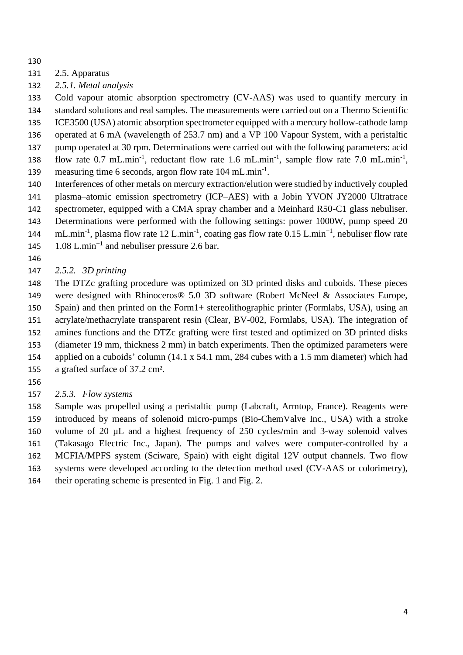- 
- 2.5. Apparatus
- *2.5.1. Metal analysis*

Cold vapour atomic absorption spectrometry (CV-AAS) was used to quantify mercury in

standard solutions and real samples. The measurements were carried out on a Thermo Scientific

- ICE3500 (USA) atomic absorption spectrometer equipped with a mercury hollow-cathode lamp operated at 6 mA (wavelength of 253.7 nm) and a VP 100 Vapour System, with a peristaltic
- pump operated at 30 rpm. Determinations were carried out with the following parameters: acid
- 138 flow rate 0.7 mL.min<sup>-1</sup>, reductant flow rate 1.6 mL.min<sup>-1</sup>, sample flow rate 7.0 mL.min<sup>-1</sup>,
- 139 measuring time 6 seconds, argon flow rate 104 mL.min<sup>-1</sup>.
- Interferences of other metals on mercury extraction/elution were studied by inductively coupled
- plasma–atomic emission spectrometry (ICP–AES) with a Jobin YVON JY2000 Ultratrace
- spectrometer, equipped with a CMA spray chamber and a Meinhard R50-C1 glass nebuliser.
- Determinations were performed with the following settings: power 1000W, pump speed 20
- 144 mL.min<sup>-1</sup>, plasma flow rate 12 L.min<sup>-1</sup>, coating gas flow rate 0.15 L.min<sup>-1</sup>, nebuliser flow rate
- 145  $1.08$  L.min<sup>-1</sup> and nebuliser pressure 2.6 bar.
- 

# *2.5.2. 3D printing*

 The DTZc grafting procedure was optimized on 3D printed disks and cuboids. These pieces were designed with Rhinoceros® 5.0 3D software (Robert McNeel & Associates Europe, Spain) and then printed on the Form1+ stereolithographic printer (Formlabs, USA), using an acrylate/methacrylate transparent resin (Clear, BV-002, Formlabs, USA). The integration of amines functions and the DTZc grafting were first tested and optimized on 3D printed disks (diameter 19 mm, thickness 2 mm) in batch experiments. Then the optimized parameters were applied on a cuboids' column (14.1 x 54.1 mm, 284 cubes with a 1.5 mm diameter) which had a grafted surface of 37.2 cm².

- 
- *2.5.3. Flow systems*

 Sample was propelled using a peristaltic pump (Labcraft, Armtop, France). Reagents were introduced by means of solenoid micro-pumps (Bio-ChemValve Inc., USA) with a stroke volume of 20 µL and a highest frequency of 250 cycles/min and 3-way solenoid valves (Takasago Electric Inc., Japan). The pumps and valves were computer-controlled by a MCFIA/MPFS system (Sciware, Spain) with eight digital 12V output channels. Two flow systems were developed according to the detection method used (CV-AAS or colorimetry), their operating scheme is presented in Fig. 1 and Fig. 2.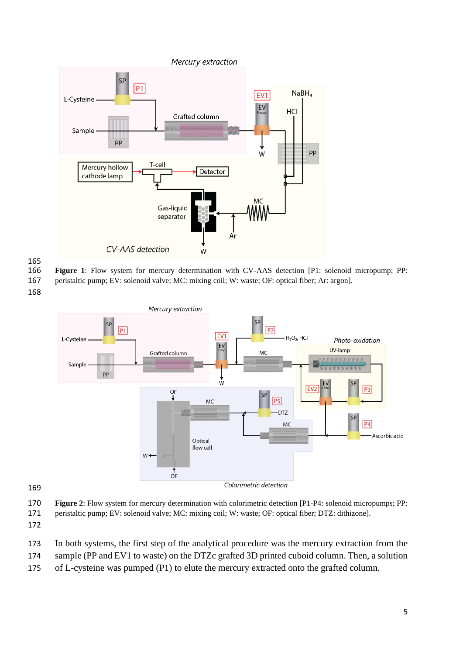

**Figure 1**: Flow system for mercury determination with CV-AAS detection [P1: solenoid micropump; PP:

peristaltic pump; EV: solenoid valve; MC: mixing coil; W: waste; OF: optical fiber; Ar: argon].



#### 

**Figure 2**: Flow system for mercury determination with colorimetric detection [P1-P4: solenoid micropumps; PP:

- peristaltic pump; EV: solenoid valve; MC: mixing coil; W: waste; OF: optical fiber; DTZ: dithizone].
- 
- In both systems, the first step of the analytical procedure was the mercury extraction from the
- sample (PP and EV1 to waste) on the DTZc grafted 3D printed cuboid column. Then, a solution
- of L-cysteine was pumped (P1) to elute the mercury extracted onto the grafted column.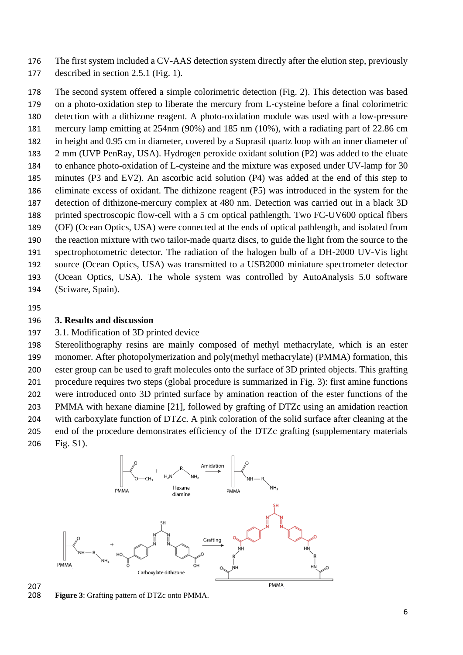The first system included a CV-AAS detection system directly after the elution step, previously

described in section 2.5.1 (Fig. 1).

 The second system offered a simple colorimetric detection (Fig. 2). This detection was based on a photo-oxidation step to liberate the mercury from L-cysteine before a final colorimetric detection with a dithizone reagent. A photo-oxidation module was used with a low-pressure mercury lamp emitting at 254nm (90%) and 185 nm (10%), with a radiating part of 22.86 cm in height and 0.95 cm in diameter, covered by a Suprasil quartz loop with an inner diameter of 2 mm (UVP PenRay, USA). Hydrogen peroxide oxidant solution (P2) was added to the eluate to enhance photo-oxidation of L-cysteine and the mixture was exposed under UV-lamp for 30 minutes (P3 and EV2). An ascorbic acid solution (P4) was added at the end of this step to eliminate excess of oxidant. The dithizone reagent (P5) was introduced in the system for the detection of dithizone-mercury complex at 480 nm. Detection was carried out in a black 3D printed spectroscopic flow-cell with a 5 cm optical pathlength. Two FC-UV600 optical fibers (OF) (Ocean Optics, USA) were connected at the ends of optical pathlength, and isolated from the reaction mixture with two tailor-made quartz discs, to guide the light from the source to the spectrophotometric detector. The radiation of the halogen bulb of a DH-2000 UV-Vis light source (Ocean Optics, USA) was transmitted to a USB2000 miniature spectrometer detector (Ocean Optics, USA). The whole system was controlled by AutoAnalysis 5.0 software (Sciware, Spain).

# **3. Results and discussion**

3.1. Modification of 3D printed device

 Stereolithography resins are mainly composed of methyl methacrylate, which is an ester monomer. After photopolymerization and poly(methyl methacrylate) (PMMA) formation, this ester group can be used to graft molecules onto the surface of 3D printed objects. This grafting procedure requires two steps (global procedure is summarized in Fig. 3): first amine functions were introduced onto 3D printed surface by amination reaction of the ester functions of the PMMA with hexane diamine [21], followed by grafting of DTZc using an amidation reaction with carboxylate function of DTZc. A pink coloration of the solid surface after cleaning at the end of the procedure demonstrates efficiency of the DTZc grafting (supplementary materials Fig. S1).



**Figure 3**: Grafting pattern of DTZc onto PMMA.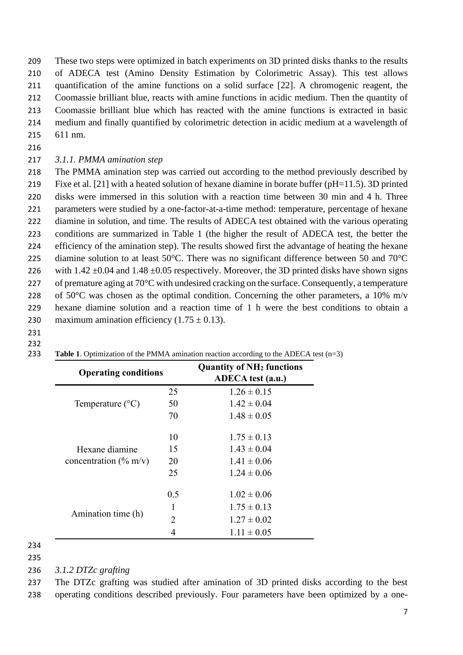These two steps were optimized in batch experiments on 3D printed disks thanks to the results of ADECA test (Amino Density Estimation by Colorimetric Assay). This test allows quantification of the amine functions on a solid surface [22]. A chromogenic reagent, the Coomassie brilliant blue, reacts with amine functions in acidic medium. Then the quantity of Coomassie brilliant blue which has reacted with the amine functions is extracted in basic medium and finally quantified by colorimetric detection in acidic medium at a wavelength of 611 nm.

## *3.1.1. PMMA amination step*

 The PMMA amination step was carried out according to the method previously described by Fixe et al. [21] with a heated solution of hexane diamine in borate buffer (pH=11.5). 3D printed disks were immersed in this solution with a reaction time between 30 min and 4 h. Three parameters were studied by a one-factor-at-a-time method: temperature, percentage of hexane diamine in solution, and time. The results of ADECA test obtained with the various operating conditions are summarized in Table 1 (the higher the result of ADECA test, the better the efficiency of the amination step). The results showed first the advantage of heating the hexane 225 diamine solution to at least 50°C. There was no significant difference between 50 and 70°C 226 with  $1.42 \pm 0.04$  and  $1.48 \pm 0.05$  respectively. Moreover, the 3D printed disks have shown signs 227 of premature aging at  $70^{\circ}$ C with undesired cracking on the surface. Consequently, a temperature 228 of 50 $\degree$ C was chosen as the optimal condition. Concerning the other parameters, a 10% m/v hexane diamine solution and a reaction time of 1 h were the best conditions to obtain a 230 maximum amination efficiency  $(1.75 \pm 0.13)$ .

 

| <b>Operating conditions</b>                |                       | <b>Quantity of NH<sub>2</sub></b> functions<br><b>ADECA</b> test (a.u.) |
|--------------------------------------------|-----------------------|-------------------------------------------------------------------------|
| Temperature $(^{\circ}C)$                  | 25                    | $1.26 \pm 0.15$                                                         |
|                                            | 50                    | $1.42 \pm 0.04$                                                         |
|                                            | 70                    | $1.48 \pm 0.05$                                                         |
| Hexane diamine<br>concentration $(\%$ m/v) | 10                    | $1.75 \pm 0.13$                                                         |
|                                            | 15                    | $1.43 \pm 0.04$                                                         |
|                                            | 20                    | $1.41 \pm 0.06$                                                         |
|                                            | 25                    | $1.24 \pm 0.06$                                                         |
| Amination time (h)                         | 0.5                   | $1.02 \pm 0.06$                                                         |
|                                            |                       | $1.75 \pm 0.13$                                                         |
|                                            | $\mathcal{D}_{\cdot}$ | $1.27 \pm 0.02$                                                         |
|                                            | 4                     | $1.11 \pm 0.05$                                                         |

#### **Table 1**. Optimization of the PMMA amination reaction according to the ADECA test (n=3)

*3.1.2 DTZc grafting*

 The DTZc grafting was studied after amination of 3D printed disks according to the best operating conditions described previously. Four parameters have been optimized by a one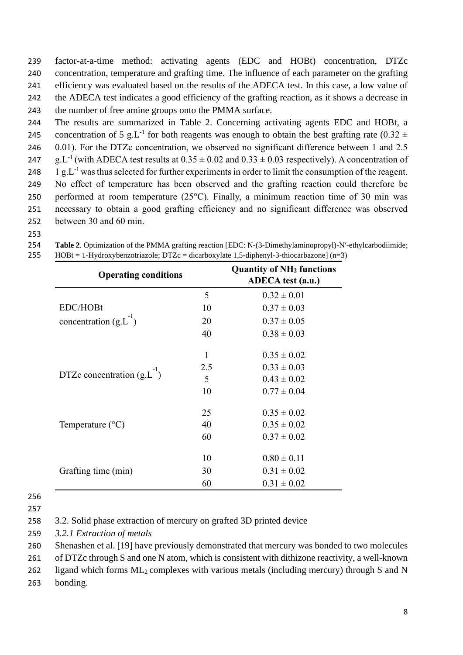factor-at-a-time method: activating agents (EDC and HOBt) concentration, DTZc concentration, temperature and grafting time. The influence of each parameter on the grafting efficiency was evaluated based on the results of the ADECA test. In this case, a low value of the ADECA test indicates a good efficiency of the grafting reaction, as it shows a decrease in the number of free amine groups onto the PMMA surface.

- The results are summarized in Table 2. Concerning activating agents EDC and HOBt, a
- 245 concentration of 5 g.L<sup>-1</sup> for both reagents was enough to obtain the best grafting rate (0.32  $\pm$ 246 0.01). For the DTZc concentration, we observed no significant difference between 1 and 2.5
- 247 g.L<sup>-1</sup> (with ADECA test results at  $0.35 \pm 0.02$  and  $0.33 \pm 0.03$  respectively). A concentration of
- 248  $\pm 1$  g.L<sup>-1</sup> was thus selected for further experiments in order to limit the consumption of the reagent.
- No effect of temperature has been observed and the grafting reaction could therefore be
- performed at room temperature (25°C). Finally, a minimum reaction time of 30 min was necessary to obtain a good grafting efficiency and no significant difference was observed between 30 and 60 min.
- 
- **Table 2**. Optimization of the PMMA grafting reaction [EDC: N-(3-Dimethylaminopropyl)-N′-ethylcarbodiimide; HOBt = 1-Hydroxybenzotriazole; DTZc = dicarboxylate 1,5-diphenyl-3-thiocarbazone] (n=3)

| <b>Operating conditions</b>     |     | <b>Quantity of NH<sub>2</sub></b> functions<br>ADECA test (a.u.) |
|---------------------------------|-----|------------------------------------------------------------------|
|                                 | 5   | $0.32 \pm 0.01$                                                  |
| EDC/HOBt                        | 10  | $0.37 \pm 0.03$                                                  |
| concentration $(g.L^{-1})$      | 20  | $0.37 \pm 0.05$                                                  |
|                                 | 40  | $0.38 \pm 0.03$                                                  |
|                                 | 1   | $0.35 \pm 0.02$                                                  |
|                                 | 2.5 | $0.33 \pm 0.03$                                                  |
| DTZc concentration $(g.L^{-1})$ | 5   | $0.43 \pm 0.02$                                                  |
|                                 | 10  | $0.77 \pm 0.04$                                                  |
|                                 | 25  | $0.35 \pm 0.02$                                                  |
| Temperature $(^{\circ}C)$       | 40  | $0.35 \pm 0.02$                                                  |
|                                 | 60  | $0.37 \pm 0.02$                                                  |
|                                 | 10  | $0.80 \pm 0.11$                                                  |
| Grafting time (min)             | 30  | $0.31 \pm 0.02$                                                  |
|                                 | 60  | $0.31 \pm 0.02$                                                  |

3.2. Solid phase extraction of mercury on grafted 3D printed device

*3.2.1 Extraction of metals*

Shenashen et al. [19] have previously demonstrated that mercury was bonded to two molecules

of DTZc through S and one N atom, which is consistent with dithizone reactivity, a well-known

262 ligand which forms  $ML_2$  complexes with various metals (including mercury) through S and N

bonding.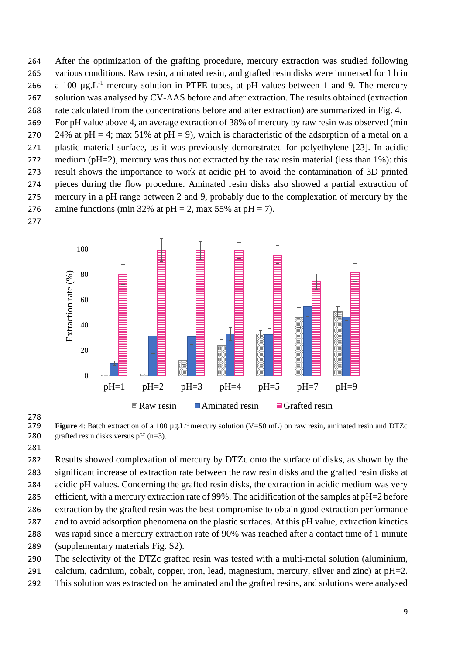After the optimization of the grafting procedure, mercury extraction was studied following various conditions. Raw resin, aminated resin, and grafted resin disks were immersed for 1 h in 266 a 100  $\mu$ g.L<sup>-1</sup> mercury solution in PTFE tubes, at pH values between 1 and 9. The mercury solution was analysed by CV-AAS before and after extraction. The results obtained (extraction rate calculated from the concentrations before and after extraction) are summarized in Fig. 4.

 For pH value above 4, an average extraction of 38% of mercury by raw resin was observed (min 270 24% at pH = 4; max 51% at pH = 9), which is characteristic of the adsorption of a metal on a plastic material surface, as it was previously demonstrated for polyethylene [23]. In acidic 272 medium (pH=2), mercury was thus not extracted by the raw resin material (less than 1%): this result shows the importance to work at acidic pH to avoid the contamination of 3D printed pieces during the flow procedure. Aminated resin disks also showed a partial extraction of mercury in a pH range between 2 and 9, probably due to the complexation of mercury by the 276 amine functions (min 32% at pH = 2, max 55% at pH = 7).





 **Figure 4**: Batch extraction of a 100  $\mu$ g.L<sup>-1</sup> mercury solution (V=50 mL) on raw resin, aminated resin and DTZc 280 grafted resin disks versus pH  $(n=3)$ .

 Results showed complexation of mercury by DTZc onto the surface of disks, as shown by the significant increase of extraction rate between the raw resin disks and the grafted resin disks at acidic pH values. Concerning the grafted resin disks, the extraction in acidic medium was very efficient, with a mercury extraction rate of 99%. The acidification of the samples at pH=2 before extraction by the grafted resin was the best compromise to obtain good extraction performance and to avoid adsorption phenomena on the plastic surfaces. At this pH value, extraction kinetics was rapid since a mercury extraction rate of 90% was reached after a contact time of 1 minute (supplementary materials Fig. S2).

The selectivity of the DTZc grafted resin was tested with a multi-metal solution (aluminium,

calcium, cadmium, cobalt, copper, iron, lead, magnesium, mercury, silver and zinc) at pH=2.

This solution was extracted on the aminated and the grafted resins, and solutions were analysed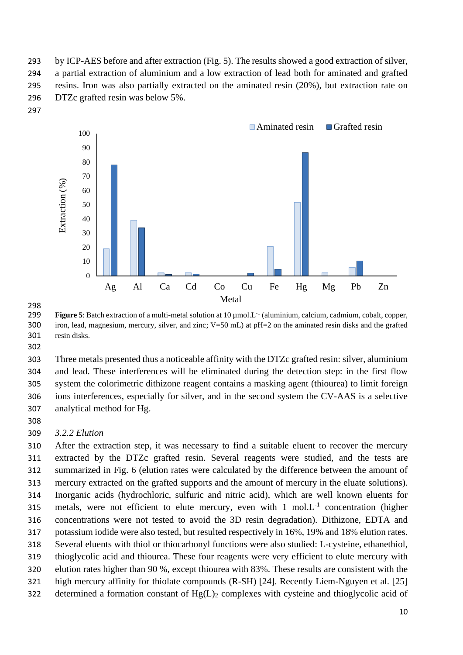by ICP-AES before and after extraction (Fig. 5). The results showed a good extraction of silver, a partial extraction of aluminium and a low extraction of lead both for aminated and grafted resins. Iron was also partially extracted on the aminated resin (20%), but extraction rate on DTZc grafted resin was below 5%.





298<br>299 **Figure 5**: Batch extraction of a multi-metal solution at  $10 \mu$ mol.L<sup>-1</sup> (aluminium, calcium, cadmium, cobalt, copper, iron, lead, magnesium, mercury, silver, and zinc; V=50 mL) at pH=2 on the aminated resin disks and the grafted resin disks.

 Three metals presented thus a noticeable affinity with the DTZc grafted resin: silver, aluminium and lead. These interferences will be eliminated during the detection step: in the first flow system the colorimetric dithizone reagent contains a masking agent (thiourea) to limit foreign ions interferences, especially for silver, and in the second system the CV-AAS is a selective analytical method for Hg.

### *3.2.2 Elution*

 After the extraction step, it was necessary to find a suitable eluent to recover the mercury extracted by the DTZc grafted resin. Several reagents were studied, and the tests are summarized in Fig. 6 (elution rates were calculated by the difference between the amount of mercury extracted on the grafted supports and the amount of mercury in the eluate solutions). Inorganic acids (hydrochloric, sulfuric and nitric acid), which are well known eluents for 315 metals, were not efficient to elute mercury, even with  $1 \text{ mol.L}^{-1}$  concentration (higher concentrations were not tested to avoid the 3D resin degradation). Dithizone, EDTA and potassium iodide were also tested, but resulted respectively in 16%, 19% and 18% elution rates. Several eluents with thiol or thiocarbonyl functions were also studied: L-cysteine, ethanethiol, thioglycolic acid and thiourea. These four reagents were very efficient to elute mercury with elution rates higher than 90 %, except thiourea with 83%. These results are consistent with the high mercury affinity for thiolate compounds (R-SH) [24]. Recently Liem-Nguyen et al. [25] 322 determined a formation constant of  $Hg(L)$ <sub>2</sub> complexes with cysteine and thioglycolic acid of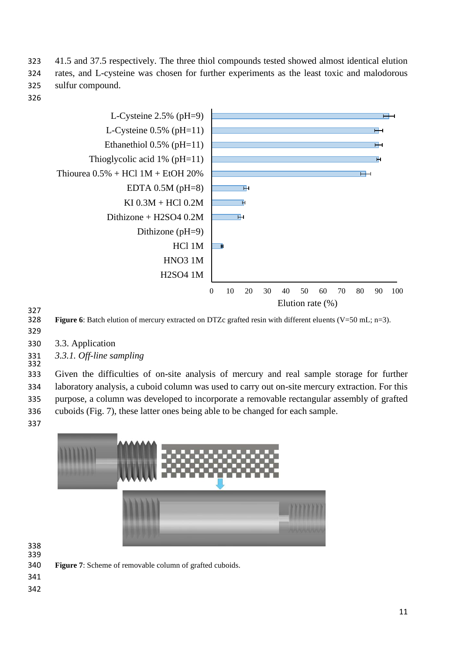323 41.5 and 37.5 respectively. The three thiol compounds tested showed almost identical elution 324 rates, and L-cysteine was chosen for further experiments as the least toxic and malodorous 325 sulfur compound.

326



327<br>328

Figure 6: Batch elution of mercury extracted on DTZc grafted resin with different eluents (V=50 mL; n=3).

- 329
- 330 3.3. Application
- 331 *3.3.1. Off-line sampling* 332

 Given the difficulties of on-site analysis of mercury and real sample storage for further laboratory analysis, a cuboid column was used to carry out on-site mercury extraction. For this purpose, a column was developed to incorporate a removable rectangular assembly of grafted cuboids (Fig. 7), these latter ones being able to be changed for each sample.



- 338 339
- 340 **Figure 7**: Scheme of removable column of grafted cuboids.
- 341
- 342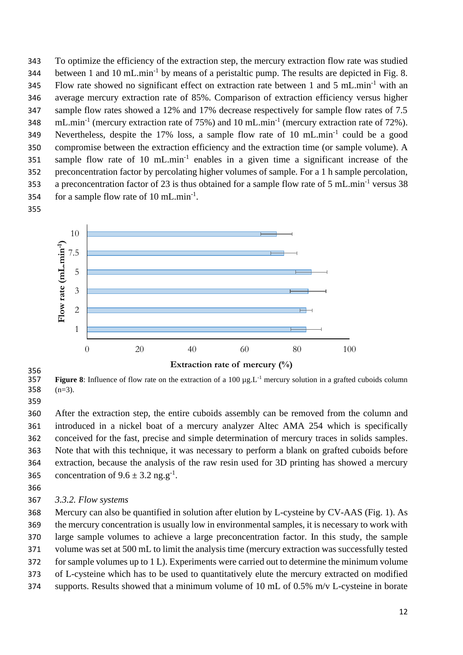To optimize the efficiency of the extraction step, the mercury extraction flow rate was studied 344 between 1 and 10 mL.min<sup>-1</sup> by means of a peristaltic pump. The results are depicted in Fig. 8. 345 Flow rate showed no significant effect on extraction rate between 1 and 5 mL.min<sup>-1</sup> with an average mercury extraction rate of 85%. Comparison of extraction efficiency versus higher sample flow rates showed a 12% and 17% decrease respectively for sample flow rates of 7.5 348 mL.min<sup>-1</sup> (mercury extraction rate of 75%) and 10 mL.min<sup>-1</sup> (mercury extraction rate of 72%). 349 Nevertheless, despite the 17% loss, a sample flow rate of 10 mL.min<sup>-1</sup> could be a good compromise between the extraction efficiency and the extraction time (or sample volume). A 351 sample flow rate of 10  $mL.min<sup>-1</sup>$  enables in a given time a significant increase of the preconcentration factor by percolating higher volumes of sample. For a 1 h sample percolation, 353 a preconcentration factor of 23 is thus obtained for a sample flow rate of 5 mL.min<sup>-1</sup> versus 38 354 for a sample flow rate of  $10 \text{ mL.min}^{-1}$ .



356<br>357

**Figure 8**: Influence of flow rate on the extraction of a 100  $\mu$ g.L<sup>-1</sup> mercury solution in a grafted cuboids column (n=3).

 After the extraction step, the entire cuboids assembly can be removed from the column and introduced in a nickel boat of a mercury analyzer Altec AMA 254 which is specifically conceived for the fast, precise and simple determination of mercury traces in solids samples. Note that with this technique, it was necessary to perform a blank on grafted cuboids before extraction, because the analysis of the raw resin used for 3D printing has showed a mercury 365 concentration of  $9.6 \pm 3.2$  ng.g<sup>-1</sup>.

- 
- *3.3.2. Flow systems*

 Mercury can also be quantified in solution after elution by L-cysteine by CV-AAS (Fig. 1). As the mercury concentration is usually low in environmental samples, it is necessary to work with large sample volumes to achieve a large preconcentration factor. In this study, the sample volume was set at 500 mL to limit the analysis time (mercury extraction was successfully tested for sample volumes up to 1 L). Experiments were carried out to determine the minimum volume of L-cysteine which has to be used to quantitatively elute the mercury extracted on modified supports. Results showed that a minimum volume of 10 mL of 0.5% m/v L-cysteine in borate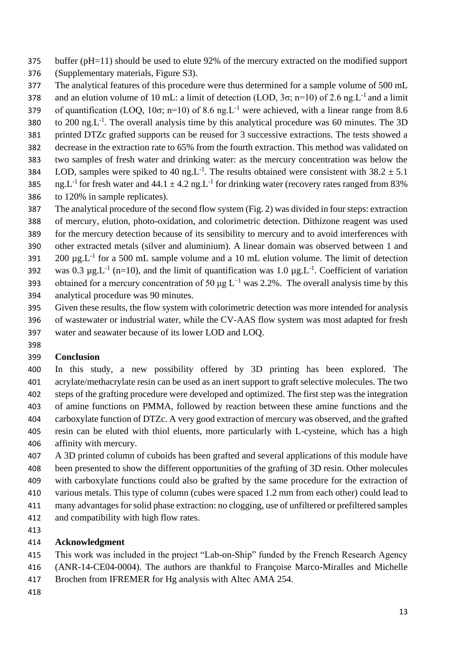- buffer (pH=11) should be used to elute 92% of the mercury extracted on the modified support
- (Supplementary materials, Figure S3).
- The analytical features of this procedure were thus determined for a sample volume of 500 mL
- 378 and an elution volume of 10 mL: a limit of detection (LOD,  $3\sigma$ ; n=10) of 2.6 ng. L<sup>-1</sup> and a limit
- 379 of quantification (LOQ, 10 $\sigma$ ; n=10) of 8.6 ng.L<sup>-1</sup> were achieved, with a linear range from 8.6
- 380 to 200 ng.L<sup>-1</sup>. The overall analysis time by this analytical procedure was 60 minutes. The 3D printed DTZc grafted supports can be reused for 3 successive extractions. The tests showed a
- decrease in the extraction rate to 65% from the fourth extraction. This method was validated on
- two samples of fresh water and drinking water: as the mercury concentration was below the
- 384 LOD, samples were spiked to 40 ng. L<sup>-1</sup>. The results obtained were consistent with  $38.2 \pm 5.1$
- 385 ng.L<sup>-1</sup> for fresh water and  $44.1 \pm 4.2$  ng.L<sup>-1</sup> for drinking water (recovery rates ranged from 83% to 120% in sample replicates).
- The analytical procedure of the second flow system (Fig. 2) was divided in four steps: extraction
- of mercury, elution, photo-oxidation, and colorimetric detection. Dithizone reagent was used
- for the mercury detection because of its sensibility to mercury and to avoid interferences with
- other extracted metals (silver and aluminium). A linear domain was observed between 1 and
- 391  $200 \mu g.L^{-1}$  for a 500 mL sample volume and a 10 mL elution volume. The limit of detection
- 392 was 0.3  $\mu$ g.L<sup>-1</sup> (n=10), and the limit of quantification was 1.0  $\mu$ g.L<sup>-1</sup>. Coefficient of variation
- 393 obtained for a mercury concentration of 50  $\mu$ g L<sup>-1</sup> was 2.2%. The overall analysis time by this analytical procedure was 90 minutes.
- Given these results, the flow system with colorimetric detection was more intended for analysis
- of wastewater or industrial water, while the CV-AAS flow system was most adapted for fresh
- water and seawater because of its lower LOD and LOQ.
- 

# **Conclusion**

- In this study, a new possibility offered by 3D printing has been explored. The acrylate/methacrylate resin can be used as an inert support to graft selective molecules. The two steps of the grafting procedure were developed and optimized. The first step was the integration of amine functions on PMMA, followed by reaction between these amine functions and the carboxylate function of DTZc. A very good extraction of mercury was observed, and the grafted resin can be eluted with thiol eluents, more particularly with L-cysteine, which has a high affinity with mercury.
- A 3D printed column of cuboids has been grafted and several applications of this module have been presented to show the different opportunities of the grafting of 3D resin. Other molecules with carboxylate functions could also be grafted by the same procedure for the extraction of various metals. This type of column (cubes were spaced 1.2 mm from each other) could lead to many advantages for solid phase extraction: no clogging, use of unfiltered or prefiltered samples
- and compatibility with high flow rates.
- 

# **Acknowledgment**

- This work was included in the project "Lab-on-Ship" funded by the French Research Agency
- (ANR-14-CE04-0004). The authors are thankful to Françoise Marco-Miralles and Michelle
- Brochen from IFREMER for Hg analysis with Altec AMA 254.
-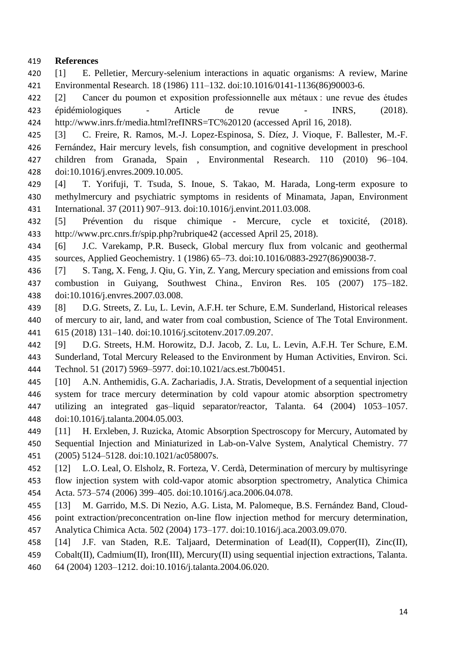## **References**

- [1] E. Pelletier, Mercury-selenium interactions in aquatic organisms: A review, Marine Environmental Research. 18 (1986) 111–132. doi:10.1016/0141-1136(86)90003-6.
- [2] Cancer du poumon et exposition professionnelle aux métaux : une revue des études épidémiologiques - Article de revue - INRS, (2018). http://www.inrs.fr/media.html?refINRS=TC%20120 (accessed April 16, 2018).
- [3] C. Freire, R. Ramos, M.-J. Lopez-Espinosa, S. Díez, J. Vioque, F. Ballester, M.-F. Fernández, Hair mercury levels, fish consumption, and cognitive development in preschool children from Granada, Spain , Environmental Research. 110 (2010) 96–104.
- doi:10.1016/j.envres.2009.10.005.
- [4] T. Yorifuji, T. Tsuda, S. Inoue, S. Takao, M. Harada, Long-term exposure to methylmercury and psychiatric symptoms in residents of Minamata, Japan, Environment International. 37 (2011) 907–913. doi:10.1016/j.envint.2011.03.008.
- [5] Prévention du risque chimique Mercure, cycle et toxicité, (2018). http://www.prc.cnrs.fr/spip.php?rubrique42 (accessed April 25, 2018).
- [6] J.C. Varekamp, P.R. Buseck, Global mercury flux from volcanic and geothermal sources, Applied Geochemistry. 1 (1986) 65–73. doi:10.1016/0883-2927(86)90038-7.
- [7] S. Tang, X. Feng, J. Qiu, G. Yin, Z. Yang, Mercury speciation and emissions from coal combustion in Guiyang, Southwest China., Environ Res. 105 (2007) 175–182. doi:10.1016/j.envres.2007.03.008.
- [8] D.G. Streets, Z. Lu, L. Levin, A.F.H. ter Schure, E.M. Sunderland, Historical releases of mercury to air, land, and water from coal combustion, Science of The Total Environment. 615 (2018) 131–140. doi:10.1016/j.scitotenv.2017.09.207.
- [9] D.G. Streets, H.M. Horowitz, D.J. Jacob, Z. Lu, L. Levin, A.F.H. Ter Schure, E.M. Sunderland, Total Mercury Released to the Environment by Human Activities, Environ. Sci. Technol. 51 (2017) 5969–5977. doi:10.1021/acs.est.7b00451.
- [10] A.N. Anthemidis, G.A. Zachariadis, J.A. Stratis, Development of a sequential injection system for trace mercury determination by cold vapour atomic absorption spectrometry utilizing an integrated gas–liquid separator/reactor, Talanta. 64 (2004) 1053–1057. doi:10.1016/j.talanta.2004.05.003.
- [11] H. Erxleben, J. Ruzicka, Atomic Absorption Spectroscopy for Mercury, Automated by Sequential Injection and Miniaturized in Lab-on-Valve System, Analytical Chemistry. 77 (2005) 5124–5128. doi:10.1021/ac058007s.
- [12] L.O. Leal, O. Elsholz, R. Forteza, V. Cerdà, Determination of mercury by multisyringe flow injection system with cold-vapor atomic absorption spectrometry, Analytica Chimica Acta. 573–574 (2006) 399–405. doi:10.1016/j.aca.2006.04.078.
- [13] M. Garrido, M.S. Di Nezio, A.G. Lista, M. Palomeque, B.S. Fernández Band, Cloud- point extraction/preconcentration on-line flow injection method for mercury determination, Analytica Chimica Acta. 502 (2004) 173–177. doi:10.1016/j.aca.2003.09.070.
- [14] J.F. van Staden, R.E. Taljaard, Determination of Lead(II), Copper(II), Zinc(II),
- Cobalt(II), Cadmium(II), Iron(III), Mercury(II) using sequential injection extractions, Talanta.
- 64 (2004) 1203–1212. doi:10.1016/j.talanta.2004.06.020.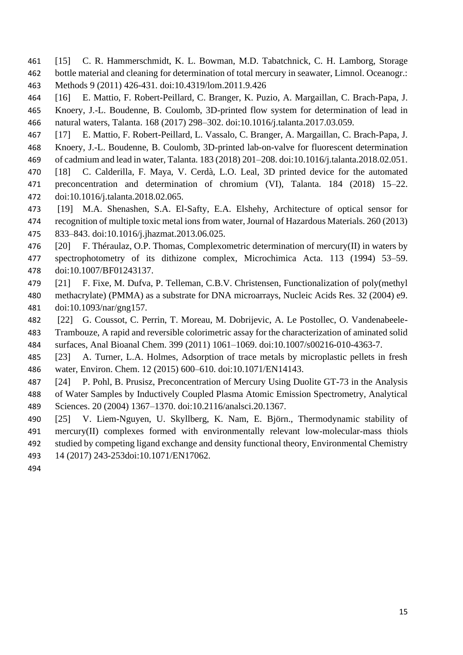- [15] C. R. Hammerschmidt, K. L. Bowman, M.D. Tabatchnick, C. H. Lamborg, Storage bottle material and cleaning for determination of total mercury in seawater, Limnol. Oceanogr.: Methods 9 (2011) 426-431. doi:10.4319/lom.2011.9.426
- [16] E. Mattio, F. Robert-Peillard, C. Branger, K. Puzio, A. Margaillan, C. Brach-Papa, J. Knoery, J.-L. Boudenne, B. Coulomb, 3D-printed flow system for determination of lead in natural waters, Talanta. 168 (2017) 298–302. doi:10.1016/j.talanta.2017.03.059.
- [17] E. Mattio, F. Robert-Peillard, L. Vassalo, C. Branger, A. Margaillan, C. Brach-Papa, J. Knoery, J.-L. Boudenne, B. Coulomb, 3D-printed lab-on-valve for fluorescent determination
- of cadmium and lead in water, Talanta. 183 (2018) 201–208. doi:10.1016/j.talanta.2018.02.051.
- [18] C. Calderilla, F. Maya, V. Cerdà, L.O. Leal, 3D printed device for the automated preconcentration and determination of chromium (VI), Talanta. 184 (2018) 15–22. doi:10.1016/j.talanta.2018.02.065.
- [19] M.A. Shenashen, S.A. El-Safty, E.A. Elshehy, Architecture of optical sensor for recognition of multiple toxic metal ions from water, Journal of Hazardous Materials. 260 (2013) 833–843. doi:10.1016/j.jhazmat.2013.06.025.
- [20] F. Théraulaz, O.P. Thomas, Complexometric determination of mercury(II) in waters by spectrophotometry of its dithizone complex, Microchimica Acta. 113 (1994) 53–59. doi:10.1007/BF01243137.
- [21] F. Fixe, M. Dufva, P. Telleman, C.B.V. Christensen, Functionalization of poly(methyl methacrylate) (PMMA) as a substrate for DNA microarrays, Nucleic Acids Res. 32 (2004) e9. doi:10.1093/nar/gng157.
- [22] G. Coussot, C. Perrin, T. Moreau, M. Dobrijevic, A. Le Postollec, O. Vandenabeele- Trambouze, A rapid and reversible colorimetric assay for the characterization of aminated solid surfaces, Anal Bioanal Chem. 399 (2011) 1061–1069. doi:10.1007/s00216-010-4363-7.
- [23] A. Turner, L.A. Holmes, Adsorption of trace metals by microplastic pellets in fresh water, Environ. Chem. 12 (2015) 600–610. doi:10.1071/EN14143.
- [24] P. Pohl, B. Prusisz, Preconcentration of Mercury Using Duolite GT-73 in the Analysis of Water Samples by Inductively Coupled Plasma Atomic Emission Spectrometry, Analytical Sciences. 20 (2004) 1367–1370. doi:10.2116/analsci.20.1367.
- [25] V. Liem-Nguyen, U. Skyllberg, K. Nam, E. Björn., Thermodynamic stability of mercury(II) complexes formed with environmentally relevant low-molecular-mass thiols studied by competing ligand exchange and density functional theory, Environmental Chemistry
- 14 (2017) 243-253doi:10.1071/EN17062.
-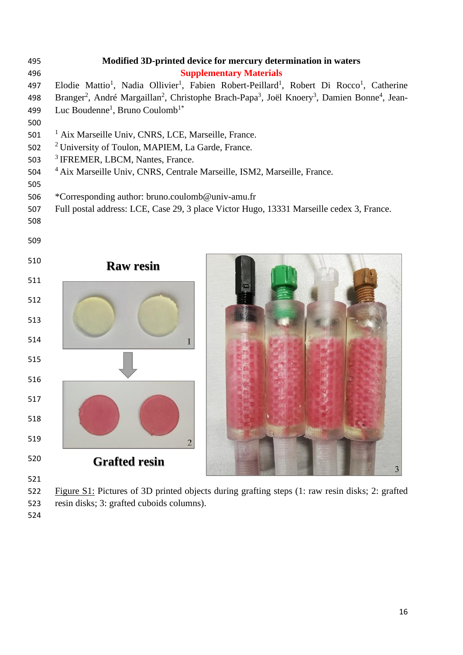| 495 | Modified 3D-printed device for mercury determination in waters                                                                                           |  |  |  |  |
|-----|----------------------------------------------------------------------------------------------------------------------------------------------------------|--|--|--|--|
| 496 | <b>Supplementary Materials</b>                                                                                                                           |  |  |  |  |
| 497 | Elodie Mattio <sup>1</sup> , Nadia Ollivier <sup>1</sup> , Fabien Robert-Peillard <sup>1</sup> , Robert Di Rocco <sup>1</sup> , Catherine                |  |  |  |  |
| 498 | Branger <sup>2</sup> , André Margaillan <sup>2</sup> , Christophe Brach-Papa <sup>3</sup> , Joël Knoery <sup>3</sup> , Damien Bonne <sup>4</sup> , Jean- |  |  |  |  |
| 499 | Luc Boudenne <sup>1</sup> , Bruno Coulomb <sup>1*</sup>                                                                                                  |  |  |  |  |
| 500 |                                                                                                                                                          |  |  |  |  |
| 501 | <sup>1</sup> Aix Marseille Univ, CNRS, LCE, Marseille, France.                                                                                           |  |  |  |  |
| 502 | <sup>2</sup> University of Toulon, MAPIEM, La Garde, France.                                                                                             |  |  |  |  |
| 503 | <sup>3</sup> IFREMER, LBCM, Nantes, France.                                                                                                              |  |  |  |  |
| 504 | <sup>4</sup> Aix Marseille Univ, CNRS, Centrale Marseille, ISM2, Marseille, France.                                                                      |  |  |  |  |
| 505 |                                                                                                                                                          |  |  |  |  |
| 506 | *Corresponding author: bruno.coulomb@univ-amu.fr                                                                                                         |  |  |  |  |
| 507 | Full postal address: LCE, Case 29, 3 place Victor Hugo, 13331 Marseille cedex 3, France.                                                                 |  |  |  |  |
| 508 |                                                                                                                                                          |  |  |  |  |
| 509 |                                                                                                                                                          |  |  |  |  |
|     |                                                                                                                                                          |  |  |  |  |
| 510 | <b>Raw resin</b>                                                                                                                                         |  |  |  |  |
| 511 |                                                                                                                                                          |  |  |  |  |
|     |                                                                                                                                                          |  |  |  |  |
| 512 |                                                                                                                                                          |  |  |  |  |
|     |                                                                                                                                                          |  |  |  |  |
| 513 |                                                                                                                                                          |  |  |  |  |
| 514 |                                                                                                                                                          |  |  |  |  |
|     |                                                                                                                                                          |  |  |  |  |
| 515 |                                                                                                                                                          |  |  |  |  |
| 516 |                                                                                                                                                          |  |  |  |  |
|     |                                                                                                                                                          |  |  |  |  |
| 517 |                                                                                                                                                          |  |  |  |  |
| 518 |                                                                                                                                                          |  |  |  |  |
|     |                                                                                                                                                          |  |  |  |  |
| 519 | $\overline{2}$                                                                                                                                           |  |  |  |  |
| 520 | <b>Grafted resin</b>                                                                                                                                     |  |  |  |  |
|     |                                                                                                                                                          |  |  |  |  |
| 521 |                                                                                                                                                          |  |  |  |  |

522 Figure S1: Pictures of 3D printed objects during grafting steps (1: raw resin disks; 2: grafted 523 resin disks; 3: grafted cuboids columns).